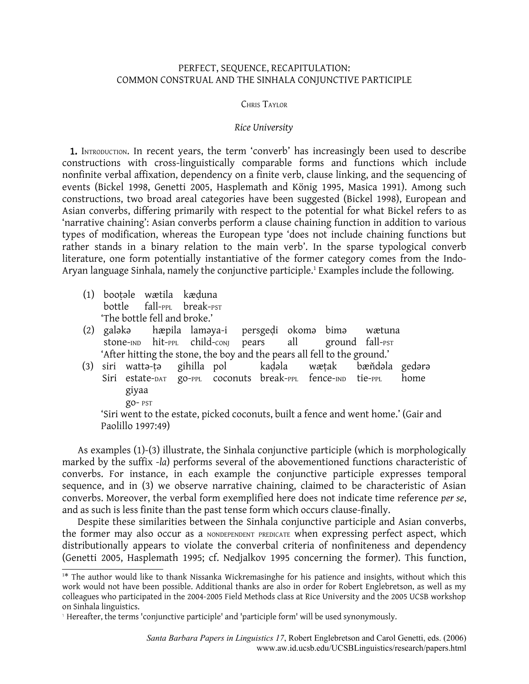## PERFECT, SEQUENCE, RECAPITULATION: COMMON CONSTRUAL AND THE SINHALA CONJUNCTIVE PARTICIPLE

## CHRIS TAYLOR

## *Rice University*

1. INTRODUCTION. In recent years, the term 'converb' has increasingly been used to describe constructions with cross-linguistically comparable forms and functions which include nonfinite verbal affixation, dependency on a finite verb, clause linking, and the sequencing of events (Bickel 1998, Genetti 2005, Hasplemath and König 1995, Masica 1991). Among such constructions, two broad areal categories have been suggested (Bickel 1998), European and Asian converbs, differing primarily with respect to the potential for what Bickel refers to as 'narrative chaining': Asian converbs perform a clause chaining function in addition to various types of modification, whereas the European type 'does not include chaining functions but rather stands in a binary relation to the main verb'. In the sparse typological converb literature, one form potentially instantiative of the former category comes from the Indo-Aryan language Sinhala, namely the conjunctive participle. [1](#page-0-0) Examples include the following.

- (1) booṭǝle wætila kæḍuna  $b$ ottle fall- $p$ pl break- $pST$ 'The bottle fell and broke.'
- (2) galǝkǝ hæpila lamǝya-i persgeḍi okomǝ bimǝ wætuna stone-IND hit-PPL child-conj pears all ground fall-PST 'After hitting the stone, the boy and the pears all fell to the ground.'
- (3) siri wattǝ-ṭǝ gihilla pol kaḍǝla wæṭak bæn̆dǝla gedǝrǝ Siri estate-DAT go-PPL coconuts break-PPL fence-IND tie-PPL home giyaa go- PST

'Siri went to the estate, picked coconuts, built a fence and went home.' (Gair and Paolillo 1997:49)

As examples (1)-(3) illustrate, the Sinhala conjunctive participle (which is morphologically marked by the suffix -*la*) performs several of the abovementioned functions characteristic of converbs. For instance, in each example the conjunctive participle expresses temporal sequence, and in (3) we observe narrative chaining, claimed to be characteristic of Asian converbs. Moreover, the verbal form exemplified here does not indicate time reference *per se*, and as such is less finite than the past tense form which occurs clause-finally.

Despite these similarities between the Sinhala conjunctive participle and Asian converbs, the former may also occur as a NONDEPENDENT PREDICATE when expressing perfect aspect, which distributionally appears to violate the converbal criteria of nonfiniteness and dependency (Genetti 2005, Hasplemath 1995; cf. Nedjalkov 1995 concerning the former). This function,

<span id="page-0-0"></span><sup>1</sup> \* The author would like to thank Nissanka Wickremasinghe for his patience and insights, without which this work would not have been possible. Additional thanks are also in order for Robert Englebretson, as well as my colleagues who participated in the 2004-2005 Field Methods class at Rice University and the 2005 UCSB workshop on Sinhala linguistics.

<sup>-</sup> Hereafter, the terms 'conjunctive participle' and 'participle form' will be used synonymously.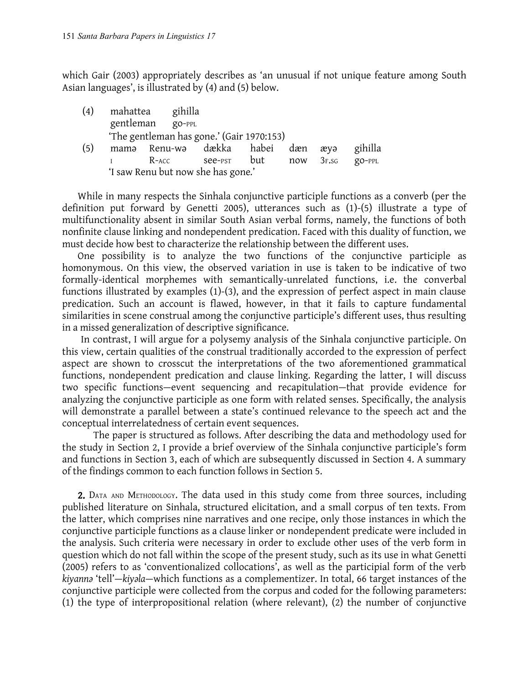which Gair (2003) appropriately describes as 'an unusual if not unique feature among South Asian languages', is illustrated by (4) and (5) below.

| (4) |                                    | mahattea gihilla                          |         |     |                      |     |          |  |
|-----|------------------------------------|-------------------------------------------|---------|-----|----------------------|-----|----------|--|
|     | gentleman                          | $QO-PPL$                                  |         |     |                      |     |          |  |
|     |                                    | 'The gentleman has gone.' (Gair 1970:153) |         |     |                      |     |          |  |
| (5) |                                    | mamə Renu-wə dækka habei dæn              |         |     |                      | æyə | gihilla  |  |
|     |                                    | $R$ -acc                                  | See-PST | but | now <sub>3F.SG</sub> |     | $QO-PPL$ |  |
|     | 'I saw Renu but now she has gone.' |                                           |         |     |                      |     |          |  |

While in many respects the Sinhala conjunctive participle functions as a converb (per the definition put forward by Genetti 2005), utterances such as (1)-(5) illustrate a type of multifunctionality absent in similar South Asian verbal forms, namely, the functions of both nonfinite clause linking and nondependent predication. Faced with this duality of function, we must decide how best to characterize the relationship between the different uses.

One possibility is to analyze the two functions of the conjunctive participle as homonymous. On this view, the observed variation in use is taken to be indicative of two formally-identical morphemes with semantically-unrelated functions, i.e. the converbal functions illustrated by examples (1)-(3), and the expression of perfect aspect in main clause predication. Such an account is flawed, however, in that it fails to capture fundamental similarities in scene construal among the conjunctive participle's different uses, thus resulting in a missed generalization of descriptive significance.

In contrast, I will argue for a polysemy analysis of the Sinhala conjunctive participle. On this view, certain qualities of the construal traditionally accorded to the expression of perfect aspect are shown to crosscut the interpretations of the two aforementioned grammatical functions, nondependent predication and clause linking. Regarding the latter, I will discuss two specific functions—event sequencing and recapitulation—that provide evidence for analyzing the conjunctive participle as one form with related senses. Specifically, the analysis will demonstrate a parallel between a state's continued relevance to the speech act and the conceptual interrelatedness of certain event sequences.

The paper is structured as follows. After describing the data and methodology used for the study in Section 2, I provide a brief overview of the Sinhala conjunctive participle's form and functions in Section 3, each of which are subsequently discussed in Section 4. A summary of the findings common to each function follows in Section 5.

2. DATA AND METHODOLOGY. The data used in this study come from three sources, including published literature on Sinhala, structured elicitation, and a small corpus of ten texts. From the latter, which comprises nine narratives and one recipe, only those instances in which the conjunctive participle functions as a clause linker or nondependent predicate were included in the analysis. Such criteria were necessary in order to exclude other uses of the verb form in question which do not fall within the scope of the present study, such as its use in what Genetti (2005) refers to as 'conventionalized collocations', as well as the participial form of the verb *kiyannǝ* 'tell'—*kiyəla*—which functions as a complementizer. In total, 66 target instances of the conjunctive participle were collected from the corpus and coded for the following parameters: (1) the type of interpropositional relation (where relevant), (2) the number of conjunctive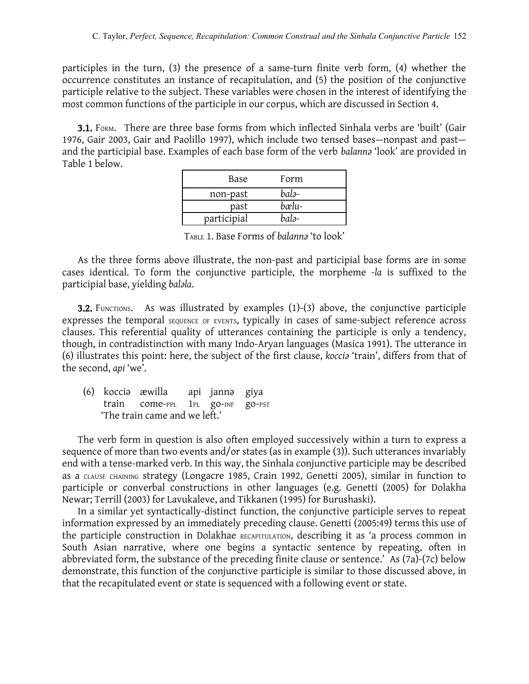participles in the turn, (3) the presence of a same-turn finite verb form, (4) whether the occurrence constitutes an instance of recapitulation, and (5) the position of the conjunctive participle relative to the subject. These variables were chosen in the interest of identifying the most common functions of the participle in our corpus, which are discussed in Section 4.

**3.1.** Form. There are three base forms from which inflected Sinhala verbs are 'built' (Gair 1976, Gair 2003, Gair and Paolillo 1997), which include two tensed bases—nonpast and past and the participial base. Examples of each base form of the verb *balannə* 'look' are provided in Table 1 below.

| Base        | Form  |
|-------------|-------|
| non-past    | balə- |
| past        | bælu- |
| participial | balə- |

TABLE 1. Base Forms of *balannǝ* 'to look'

As the three forms above illustrate, the non-past and participial base forms are in some cases identical. To form the conjunctive participle, the morpheme -*la* is suffixed to the participial base, yielding *baləla*.

**3.2.** FUNCTIONS. As was illustrated by examples (1)-(3) above, the conjunctive participle expresses the temporal SEQUENCE OF EVENTS, typically in cases of same-subject reference across clauses. This referential quality of utterances containing the participle is only a tendency, though, in contradistinction with many Indo-Aryan languages (Masica 1991). The utterance in (6) illustrates this point: here, the subject of the first clause, *kocciǝ* 'train', differs from that of the second, *api* 'we'.

(6) kocciǝ æwilla api jannǝ giya train come-PPL 1PL go-INF go-PST 'The train came and we left.'

The verb form in question is also often employed successively within a turn to express a sequence of more than two events and/or states (as in example (3)). Such utterances invariably end with a tense-marked verb. In this way, the Sinhala conjunctive participle may be described as a CLAUSE CHAINING strategy (Longacre 1985, Crain 1992, Genetti 2005), similar in function to participle or converbal constructions in other languages (e.g. Genetti (2005) for Dolakha Newar; Terrill (2003) for Lavukaleve, and Tikkanen (1995) for Burushaski).

In a similar yet syntactically-distinct function, the conjunctive participle serves to repeat information expressed by an immediately preceding clause. Genetti (2005:49) terms this use of the participle construction in Dolakhae RECAPITULATION, describing it as 'a process common in South Asian narrative, where one begins a syntactic sentence by repeating, often in abbreviated form, the substance of the preceding finite clause or sentence.' As (7a)-(7c) below demonstrate, this function of the conjunctive participle is similar to those discussed above, in that the recapitulated event or state is sequenced with a following event or state.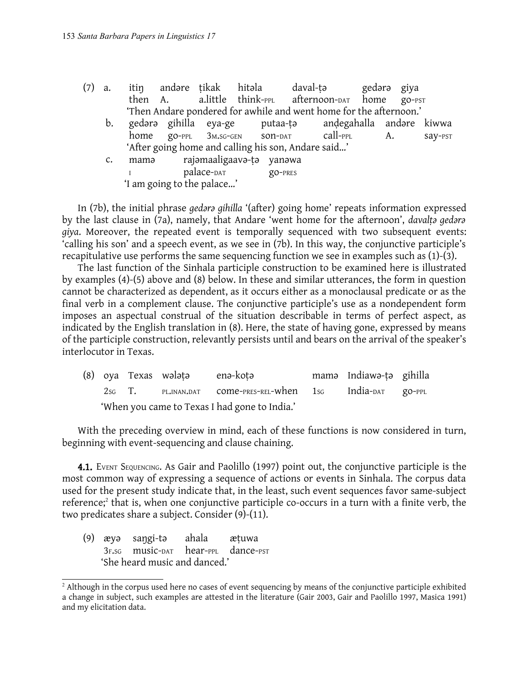| (7) | a.             |         | itin andəre tikak hitəla   |                        |                                                                    | daval-tə |          | gedərə giya  |         |
|-----|----------------|---------|----------------------------|------------------------|--------------------------------------------------------------------|----------|----------|--------------|---------|
|     |                | then A. |                            |                        | a.little think-PPL afternoon-DAT home                              |          |          | $qo$ - $PST$ |         |
|     |                |         |                            |                        | 'Then Andare pondered for awhile and went home for the afternoon.' |          |          |              |         |
|     | b.             |         |                            |                        | gedərə gihilla eya-ge yutaa-tə andegahalla andəre kiwwa            |          |          |              |         |
|     |                |         |                            |                        | home go-ppl 3M.SG-GEN SON-DAT                                      |          | Call-ppL | A.           | say-PST |
|     |                |         |                            |                        | 'After going home and calling his son, Andare said'                |          |          |              |         |
|     | $\mathsf{C}$ . | mama    |                            |                        | rajamaaligaava-ta yanawa                                           |          |          |              |         |
|     |                |         |                            | palace- <sub>DAT</sub> |                                                                    | go-PRES  |          |              |         |
|     |                |         | 'I am going to the palace' |                        |                                                                    |          |          |              |         |
|     |                |         |                            |                        |                                                                    |          |          |              |         |

In (7b), the initial phrase *gedara gihilla* '(after) going home' repeats information expressed by the last clause in (7a), namely, that Andare 'went home for the afternoon', *davalta gedara giya*. Moreover, the repeated event is temporally sequenced with two subsequent events: 'calling his son' and a speech event, as we see in (7b). In this way, the conjunctive participle's recapitulative use performs the same sequencing function we see in examples such as (1)-(3).

The last function of the Sinhala participle construction to be examined here is illustrated by examples (4)-(5) above and (8) below. In these and similar utterances, the form in question cannot be characterized as dependent, as it occurs either as a monoclausal predicate or as the final verb in a complement clause. The conjunctive participle's use as a nondependent form imposes an aspectual construal of the situation describable in terms of perfect aspect, as indicated by the English translation in (8). Here, the state of having gone, expressed by means of the participle construction, relevantly persists until and bears on the arrival of the speaker's interlocutor in Texas.

|  | (8) oya Texas wələtə   enə-kotə |                                                           | mama Indiawa-ta gihilla |  |
|--|---------------------------------|-----------------------------------------------------------|-------------------------|--|
|  |                                 | 2sg T. PLINAN.DAT COME-PRES-REL-When 1sg India-DAT go-PPL |                         |  |
|  |                                 | 'When you came to Texas I had gone to India.'             |                         |  |

With the preceding overview in mind, each of these functions is now considered in turn, beginning with event-sequencing and clause chaining.

4.1. EVENT SEQUENCING. As Gair and Paolillo (1997) point out, the conjunctive participle is the most common way of expressing a sequence of actions or events in Sinhala. The corpus data used for the present study indicate that, in the least, such event sequences favor same-subject reference; [2](#page-3-0) that is, when one conjunctive participle co-occurs in a turn with a finite verb, the two predicates share a subject. Consider (9)-(11).

(9) æyǝ saŋgi-tǝ ahala æṭuwa 3F.SG music-DAT hear-PPL dance-PST 'She heard music and danced.'

<span id="page-3-0"></span><sup>&</sup>lt;sup>2</sup> Although in the corpus used here no cases of event sequencing by means of the conjunctive participle exhibited a change in subject, such examples are attested in the literature (Gair 2003, Gair and Paolillo 1997, Masica 1991) and my elicitation data.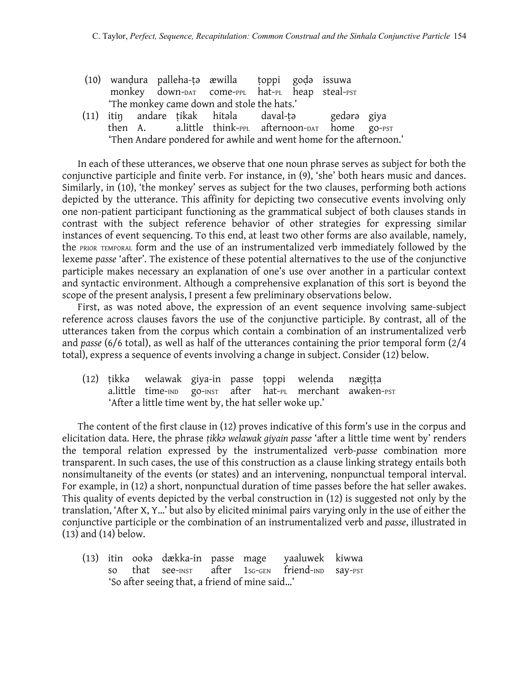|  |  | (10) wandura palleha-ta æwilla toppi goda issuwa    |  |  |  |
|--|--|-----------------------------------------------------|--|--|--|
|  |  | monkey down-DAT come-PPL hat-PL heap steal-PST      |  |  |  |
|  |  | 'The monkey came down and stole the hats.'          |  |  |  |
|  |  | (11) itin andare tikak hitəla daval-tə sedərə giya  |  |  |  |
|  |  | then A. alittle think-PPL afternoon-DAT home go-PST |  |  |  |

'Then Andare pondered for awhile and went home for the afternoon.'

In each of these utterances, we observe that one noun phrase serves as subject for both the conjunctive participle and finite verb. For instance, in (9), 'she' both hears music and dances. Similarly, in (10), 'the monkey' serves as subject for the two clauses, performing both actions depicted by the utterance. This affinity for depicting two consecutive events involving only one non-patient participant functioning as the grammatical subject of both clauses stands in contrast with the subject reference behavior of other strategies for expressing similar instances of event sequencing. To this end, at least two other forms are also available, namely, the PRIOR TEMPORAL form and the use of an instrumentalized verb immediately followed by the lexeme *passe* 'after'. The existence of these potential alternatives to the use of the conjunctive participle makes necessary an explanation of one's use over another in a particular context and syntactic environment. Although a comprehensive explanation of this sort is beyond the scope of the present analysis, I present a few preliminary observations below.

First, as was noted above, the expression of an event sequence involving same-subject reference across clauses favors the use of the conjunctive participle. By contrast, all of the utterances taken from the corpus which contain a combination of an instrumentalized verb and *passe* (6/6 total), as well as half of the utterances containing the prior temporal form (2/4 total), express a sequence of events involving a change in subject. Consider (12) below.

(12) ṭikkǝ welawak giya-in passe ṭoppi welenda nægiṭṭa a.little time-IND go-INST after hat-PL merchant awaken-PST 'After a little time went by, the hat seller woke up.'

The content of the first clause in (12) proves indicative of this form's use in the corpus and elicitation data. Here, the phrase *ṭikkǝ welawak giyain passe* 'after a little time went by' renders the temporal relation expressed by the instrumentalized verb-*passe* combination more transparent. In such cases, the use of this construction as a clause linking strategy entails both nonsimultaneity of the events (or states) and an intervening, nonpunctual temporal interval. For example, in (12) a short, nonpunctual duration of time passes before the hat seller awakes. This quality of events depicted by the verbal construction in (12) is suggested not only by the translation, 'After X, Y…' but also by elicited minimal pairs varying only in the use of either the conjunctive participle or the combination of an instrumentalized verb and *passe*, illustrated in (13) and (14) below.

(13) itin ookǝ dækka-in passe mage yaaluwek kiwwa so that see-INST after 1SG-GEN friend-IND say-PST 'So after seeing that, a friend of mine said…'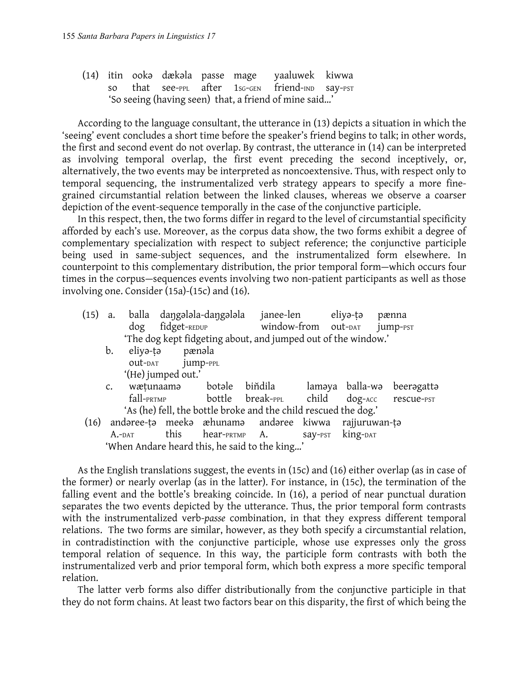(14) itin ookǝ dækǝla passe mage yaaluwek kiwwa so that see-PPL after 1SG-GEN friend-IND say-PST 'So seeing (having seen) that, a friend of mine said…'

According to the language consultant, the utterance in (13) depicts a situation in which the 'seeing' event concludes a short time before the speaker's friend begins to talk; in other words, the first and second event do not overlap. By contrast, the utterance in (14) can be interpreted as involving temporal overlap, the first event preceding the second inceptively, or, alternatively, the two events may be interpreted as noncoextensive. Thus, with respect only to temporal sequencing, the instrumentalized verb strategy appears to specify a more finegrained circumstantial relation between the linked clauses, whereas we observe a coarser depiction of the event-sequence temporally in the case of the conjunctive participle.

In this respect, then, the two forms differ in regard to the level of circumstantial specificity afforded by each's use. Moreover, as the corpus data show, the two forms exhibit a degree of complementary specialization with respect to subject reference; the conjunctive participle being used in same-subject sequences, and the instrumentalized form elsewhere. In counterpoint to this complementary distribution, the prior temporal form—which occurs four times in the corpus—sequences events involving two non-patient participants as well as those involving one. Consider (15a)-(15c) and (16).

|  | (15) a. balla dangələla-dangələla janee-len                   | eliyə-tə pænna |  |
|--|---------------------------------------------------------------|----------------|--|
|  | dog fidget-REDUP window-from out-DAT jump-PST                 |                |  |
|  | 'The dog kept fidgeting about, and jumped out of the window.' |                |  |

b. eliyǝ-ṭǝ pænǝla out-DAT jump-PPL '(He) jumped out.'

c. wætunaamǝ botǝle biňdila lamǝya balla-wǝ beerǝgattǝ fall-PRTMP bottle break-PPL child dog-ACC rescue-PST 'As (he) fell, the bottle broke and the child rescued the dog.' (16) andǝree-ṭǝ meekǝ æhunamǝ andǝree kiwwa rajjuruwan-ṭǝ A.-DAT this hear-PRTMP A. Say-PST king-DAT 'When Andare heard this, he said to the king…'

As the English translations suggest, the events in (15c) and (16) either overlap (as in case of the former) or nearly overlap (as in the latter). For instance, in (15c), the termination of the falling event and the bottle's breaking coincide. In (16), a period of near punctual duration separates the two events depicted by the utterance. Thus, the prior temporal form contrasts with the instrumentalized verb-*passe* combination, in that they express different temporal relations. The two forms are similar, however, as they both specify a circumstantial relation, in contradistinction with the conjunctive participle, whose use expresses only the gross temporal relation of sequence. In this way, the participle form contrasts with both the instrumentalized verb and prior temporal form, which both express a more specific temporal relation.

The latter verb forms also differ distributionally from the conjunctive participle in that they do not form chains. At least two factors bear on this disparity, the first of which being the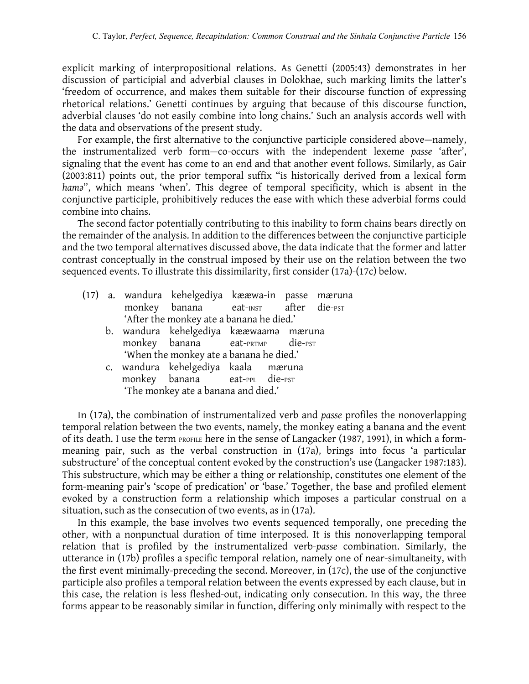explicit marking of interpropositional relations. As Genetti (2005:43) demonstrates in her discussion of participial and adverbial clauses in Dolokhae, such marking limits the latter's 'freedom of occurrence, and makes them suitable for their discourse function of expressing rhetorical relations.' Genetti continues by arguing that because of this discourse function, adverbial clauses 'do not easily combine into long chains.' Such an analysis accords well with the data and observations of the present study.

For example, the first alternative to the conjunctive participle considered above—namely, the instrumentalized verb form—co-occurs with the independent lexeme *passe* 'after', signaling that the event has come to an end and that another event follows. Similarly, as Gair (2003:811) points out, the prior temporal suffix "is historically derived from a lexical form *hamə*", which means 'when'. This degree of temporal specificity, which is absent in the conjunctive participle, prohibitively reduces the ease with which these adverbial forms could combine into chains.

The second factor potentially contributing to this inability to form chains bears directly on the remainder of the analysis. In addition to the differences between the conjunctive participle and the two temporal alternatives discussed above, the data indicate that the former and latter contrast conceptually in the construal imposed by their use on the relation between the two sequenced events. To illustrate this dissimilarity, first consider (17a)-(17c) below.

|  |                                          | (17) a. wandura kehelgediya kææwa-in passe mæruna |  |  |  |  |  |
|--|------------------------------------------|---------------------------------------------------|--|--|--|--|--|
|  |                                          | monkey banana eat-inst after die-pst              |  |  |  |  |  |
|  | 'After the monkey ate a banana he died.' |                                                   |  |  |  |  |  |

- b. wandura kehelgediya kææwaamǝ mæruna monkey banana eat-PRTMP die-PST 'When the monkey ate a banana he died.'
- c. wandura kehelgediya kaala mæruna monkey banana eat-PPL die-PST 'The monkey ate a banana and died.'

In (17a), the combination of instrumentalized verb and *passe* profiles the nonoverlapping temporal relation between the two events, namely, the monkey eating a banana and the event of its death. I use the term PROFILE here in the sense of Langacker (1987, 1991), in which a formmeaning pair, such as the verbal construction in (17a), brings into focus 'a particular substructure' of the conceptual content evoked by the construction's use (Langacker 1987:183). This substructure, which may be either a thing or relationship, constitutes one element of the form-meaning pair's 'scope of predication' or 'base.' Together, the base and profiled element evoked by a construction form a relationship which imposes a particular construal on a situation, such as the consecution of two events, as in (17a).

In this example, the base involves two events sequenced temporally, one preceding the other, with a nonpunctual duration of time interposed. It is this nonoverlapping temporal relation that is profiled by the instrumentalized verb-*passe* combination. Similarly, the utterance in (17b) profiles a specific temporal relation, namely one of near-simultaneity, with the first event minimally-preceding the second. Moreover, in (17c), the use of the conjunctive participle also profiles a temporal relation between the events expressed by each clause, but in this case, the relation is less fleshed-out, indicating only consecution. In this way, the three forms appear to be reasonably similar in function, differing only minimally with respect to the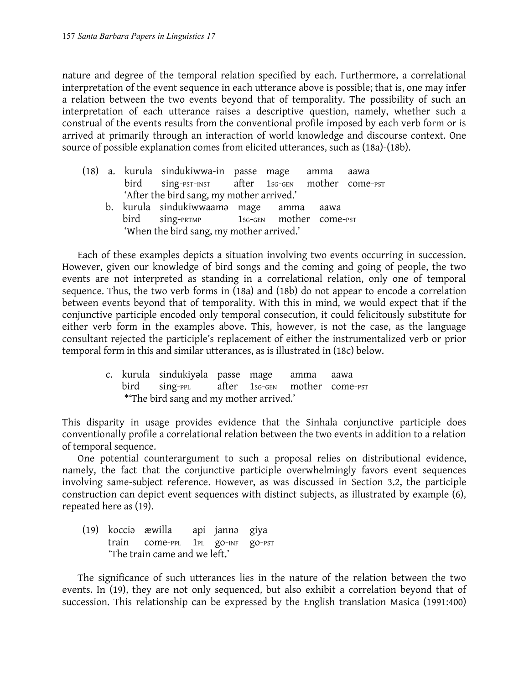nature and degree of the temporal relation specified by each. Furthermore, a correlational interpretation of the event sequence in each utterance above is possible; that is, one may infer a relation between the two events beyond that of temporality. The possibility of such an interpretation of each utterance raises a descriptive question, namely, whether such a construal of the events results from the conventional profile imposed by each verb form or is arrived at primarily through an interaction of world knowledge and discourse context. One source of possible explanation comes from elicited utterances, such as (18a)-(18b).

- (18) a. kurula sindukiwwa-in passe mage amma aawa bird sing-PST-INST after 1sG-GEN mother come-PST 'After the bird sang, my mother arrived.' b. kurula sindukiwwaamǝ mage amma aawa
	- bird sing-PRTMP 1SG-GEN mother come-PST 'When the bird sang, my mother arrived.'

Each of these examples depicts a situation involving two events occurring in succession. However, given our knowledge of bird songs and the coming and going of people, the two events are not interpreted as standing in a correlational relation, only one of temporal sequence. Thus, the two verb forms in (18a) and (18b) do not appear to encode a correlation between events beyond that of temporality. With this in mind, we would expect that if the conjunctive participle encoded only temporal consecution, it could felicitously substitute for either verb form in the examples above. This, however, is not the case, as the language consultant rejected the participle's replacement of either the instrumentalized verb or prior temporal form in this and similar utterances, as is illustrated in (18c) below.

> c. kurula sindukiyǝla passe mage amma aawa bird sing-PPL after 1SG-GEN mother come-PST \*'The bird sang and my mother arrived.'

This disparity in usage provides evidence that the Sinhala conjunctive participle does conventionally profile a correlational relation between the two events in addition to a relation of temporal sequence.

One potential counterargument to such a proposal relies on distributional evidence, namely, the fact that the conjunctive participle overwhelmingly favors event sequences involving same-subject reference. However, as was discussed in Section 3.2, the participle construction can depict event sequences with distinct subjects, as illustrated by example (6), repeated here as (19).

(19) kocciǝ æwilla api jannǝ giya train come-PPL 1PL go-INF go-PST 'The train came and we left.'

The significance of such utterances lies in the nature of the relation between the two events. In (19), they are not only sequenced, but also exhibit a correlation beyond that of succession. This relationship can be expressed by the English translation Masica (1991:400)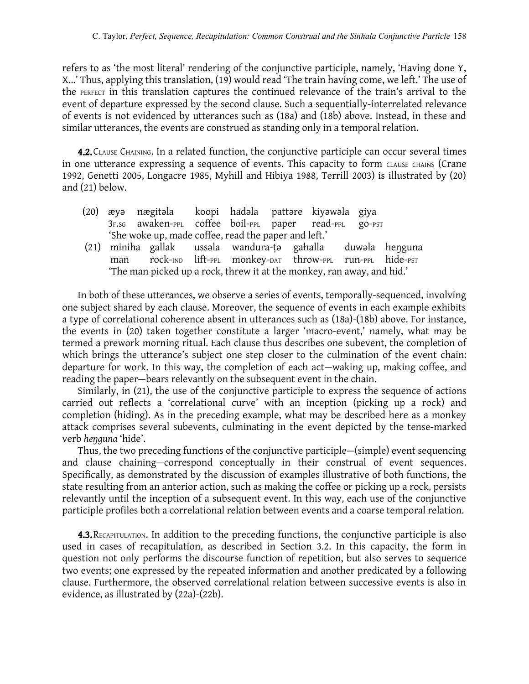refers to as 'the most literal' rendering of the conjunctive participle, namely, 'Having done Y, X…' Thus, applying this translation, (19) would read 'The train having come, we left.' The use of the PERFECT in this translation captures the continued relevance of the train's arrival to the event of departure expressed by the second clause. Such a sequentially-interrelated relevance of events is not evidenced by utterances such as (18a) and (18b) above. Instead, in these and similar utterances, the events are construed as standing only in a temporal relation.

4.2. CLAUSE CHAINING. In a related function, the conjunctive participle can occur several times in one utterance expressing a sequence of events. This capacity to form CLAUSE CHAINS (Crane 1992, Genetti 2005, Longacre 1985, Myhill and Hibiya 1988, Terrill 2003) is illustrated by (20) and (21) below.

- (20) æyǝ nægitǝla koopi hadǝla pattǝre kiyǝwǝla giya 3F.SG awaken-PPL coffee boil-PPL paper read-PPL go-PST 'She woke up, made coffee, read the paper and left.'
- (21) miniha gallak ussǝla wandura-ṭǝ gahalla duwǝla heŋguna man rock-IND lift-PPL monkey-DAT throw-PPL run-PPL hide-PST 'The man picked up a rock, threw it at the monkey, ran away, and hid.'

In both of these utterances, we observe a series of events, temporally-sequenced, involving one subject shared by each clause. Moreover, the sequence of events in each example exhibits a type of correlational coherence absent in utterances such as (18a)-(18b) above. For instance, the events in (20) taken together constitute a larger 'macro-event,' namely, what may be termed a prework morning ritual. Each clause thus describes one subevent, the completion of which brings the utterance's subject one step closer to the culmination of the event chain: departure for work. In this way, the completion of each act—waking up, making coffee, and reading the paper—bears relevantly on the subsequent event in the chain.

Similarly, in (21), the use of the conjunctive participle to express the sequence of actions carried out reflects a 'correlational curve' with an inception (picking up a rock) and completion (hiding). As in the preceding example, what may be described here as a monkey attack comprises several subevents, culminating in the event depicted by the tense-marked verb *heŋguna* 'hide'.

Thus, the two preceding functions of the conjunctive participle—(simple) event sequencing and clause chaining—correspond conceptually in their construal of event sequences. Specifically, as demonstrated by the discussion of examples illustrative of both functions, the state resulting from an anterior action, such as making the coffee or picking up a rock, persists relevantly until the inception of a subsequent event. In this way, each use of the conjunctive participle profiles both a correlational relation between events and a coarse temporal relation.

4.3. RECAPITULATION. In addition to the preceding functions, the conjunctive participle is also used in cases of recapitulation, as described in Section 3.2. In this capacity, the form in question not only performs the discourse function of repetition, but also serves to sequence two events; one expressed by the repeated information and another predicated by a following clause. Furthermore, the observed correlational relation between successive events is also in evidence, as illustrated by (22a)-(22b).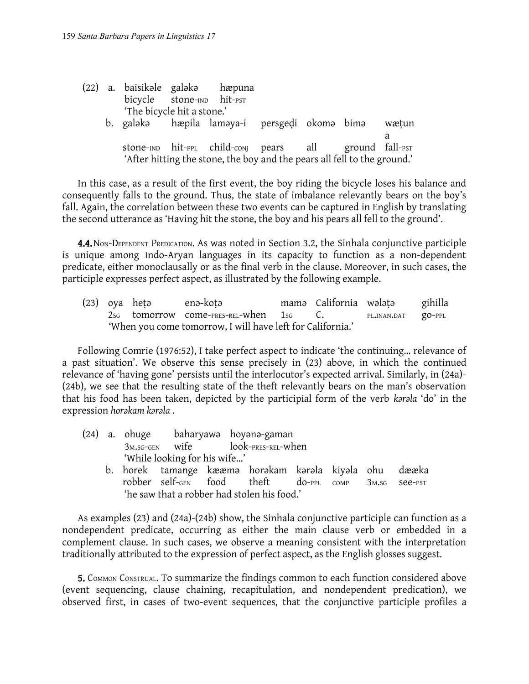|  | bicycle stone-IND hit-PST |                            | (22) a. baisikəle galəkə hæpuna                                          |  |  |  |       |  |
|--|---------------------------|----------------------------|--------------------------------------------------------------------------|--|--|--|-------|--|
|  |                           | 'The bicycle hit a stone.' |                                                                          |  |  |  |       |  |
|  |                           |                            | b. galaka hæpila lamaya-i persgedi okoma bima                            |  |  |  | wætun |  |
|  |                           |                            |                                                                          |  |  |  |       |  |
|  |                           |                            | stone-IND hit-PPL child-conj pears all ground fall-PST                   |  |  |  |       |  |
|  |                           |                            | 'After hitting the stone, the boy and the pears all fell to the ground.' |  |  |  |       |  |

In this case, as a result of the first event, the boy riding the bicycle loses his balance and consequently falls to the ground. Thus, the state of imbalance relevantly bears on the boy's fall. Again, the correlation between these two events can be captured in English by translating the second utterance as 'Having hit the stone, the boy and his pears all fell to the ground'.

4.4.NON-DEPENDENT PREDICATION. As was noted in Section 3.2, the Sinhala conjunctive participle is unique among Indo-Aryan languages in its capacity to function as a non-dependent predicate, either monoclausally or as the final verb in the clause. Moreover, in such cases, the participle expresses perfect aspect, as illustrated by the following example.

(23) oya heṭǝ enǝ-koṭǝ mamǝ California wǝlǝṭǝ gihilla 2SG tomorrow come-PRES-REL-when 1SG C. PL.INAN.DAT go-PPL 'When you come tomorrow, I will have left for California.'

Following Comrie (1976:52), I take perfect aspect to indicate 'the continuing… relevance of a past situation'. We observe this sense precisely in (23) above, in which the continued relevance of 'having gone' persists until the interlocutor's expected arrival. Similarly, in (24a)- (24b), we see that the resulting state of the theft relevantly bears on the man's observation that his food has been taken, depicted by the participial form of the verb *karala* 'do' in the expression *horǝkam kǝrǝla* .

- (24) a. ohuge baharyawǝ hoyǝnǝ-gaman 3M.SG-GEN wife look-PRES-REL-when 'While looking for his wife…'
	- b. horek tamange kææmə horəkam kərəla kiyəla ohu dææka robber self-GEN food theft do-PPL COMP 3M.SG see-PST 'he saw that a robber had stolen his food.'

As examples (23) and (24a)-(24b) show, the Sinhala conjunctive participle can function as a nondependent predicate, occurring as either the main clause verb or embedded in a complement clause. In such cases, we observe a meaning consistent with the interpretation traditionally attributed to the expression of perfect aspect, as the English glosses suggest.

**5.** COMMON CONSTRUAL. To summarize the findings common to each function considered above (event sequencing, clause chaining, recapitulation, and nondependent predication), we observed first, in cases of two-event sequences, that the conjunctive participle profiles a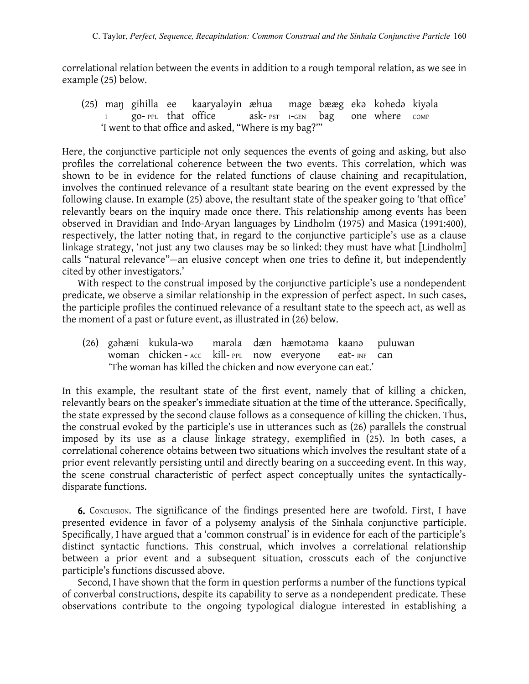correlational relation between the events in addition to a rough temporal relation, as we see in example (25) below.

(25) maŋ gihilla ee kaaryaləyin æhua mage bææg ekə kohedə kiyəla <sup>I</sup> go- PPL that office ask- PST <sup>I</sup>-GEN bag one where COMP 'I went to that office and asked, "Where is my bag?"'

Here, the conjunctive participle not only sequences the events of going and asking, but also profiles the correlational coherence between the two events. This correlation, which was shown to be in evidence for the related functions of clause chaining and recapitulation, involves the continued relevance of a resultant state bearing on the event expressed by the following clause. In example (25) above, the resultant state of the speaker going to 'that office' relevantly bears on the inquiry made once there. This relationship among events has been observed in Dravidian and Indo-Aryan languages by Lindholm (1975) and Masica (1991:400), respectively, the latter noting that, in regard to the conjunctive participle's use as a clause linkage strategy, 'not just any two clauses may be so linked: they must have what [Lindholm] calls "natural relevance"—an elusive concept when one tries to define it, but independently cited by other investigators.'

With respect to the construal imposed by the conjunctive participle's use a nondependent predicate, we observe a similar relationship in the expression of perfect aspect. In such cases, the participle profiles the continued relevance of a resultant state to the speech act, as well as the moment of a past or future event, as illustrated in (26) below.

(26) gǝhæni kukula-wǝ marǝla dæn hæmotǝmǝ kaanǝ puluwan woman chicken - ACC kill- PPL now everyone eat- INF can 'The woman has killed the chicken and now everyone can eat.'

In this example, the resultant state of the first event, namely that of killing a chicken, relevantly bears on the speaker's immediate situation at the time of the utterance. Specifically, the state expressed by the second clause follows as a consequence of killing the chicken. Thus, the construal evoked by the participle's use in utterances such as (26) parallels the construal imposed by its use as a clause linkage strategy, exemplified in (25). In both cases, a correlational coherence obtains between two situations which involves the resultant state of a prior event relevantly persisting until and directly bearing on a succeeding event. In this way, the scene construal characteristic of perfect aspect conceptually unites the syntacticallydisparate functions.

6. CONCLUSION. The significance of the findings presented here are twofold. First, I have presented evidence in favor of a polysemy analysis of the Sinhala conjunctive participle. Specifically, I have argued that a 'common construal' is in evidence for each of the participle's distinct syntactic functions. This construal, which involves a correlational relationship between a prior event and a subsequent situation, crosscuts each of the conjunctive participle's functions discussed above.

Second, I have shown that the form in question performs a number of the functions typical of converbal constructions, despite its capability to serve as a nondependent predicate. These observations contribute to the ongoing typological dialogue interested in establishing a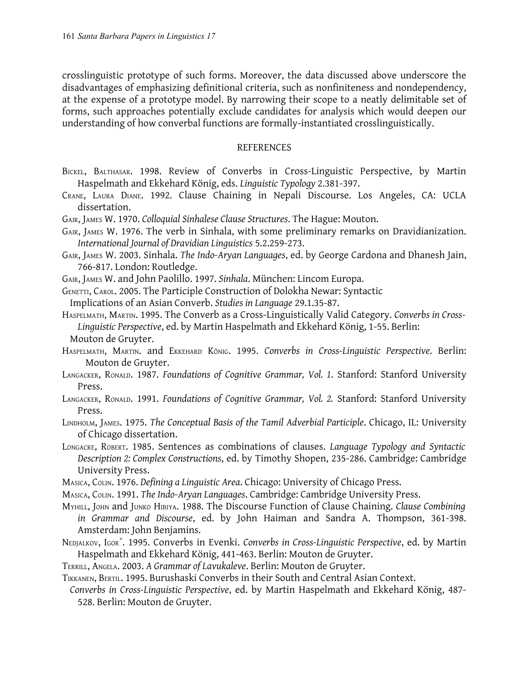crosslinguistic prototype of such forms. Moreover, the data discussed above underscore the disadvantages of emphasizing definitional criteria, such as nonfiniteness and nondependency, at the expense of a prototype model. By narrowing their scope to a neatly delimitable set of forms, such approaches potentially exclude candidates for analysis which would deepen our understanding of how converbal functions are formally-instantiated crosslinguistically.

## REFERENCES

- BICKEL, BALTHASAR. 1998. Review of Converbs in Cross-Linguistic Perspective, by Martin Haspelmath and Ekkehard König, eds. *Linguistic Typology* 2.381-397.
- CRANE, LAURA DIANE. 1992. Clause Chaining in Nepali Discourse. Los Angeles, CA: UCLA dissertation.
- GAIR, JAMES W. 1970. *Colloquial Sinhalese Clause Structures*. The Hague: Mouton.
- GAIR, JAMES W. 1976. The verb in Sinhala, with some preliminary remarks on Dravidianization. *International Journal of Dravidian Linguistics* 5.2.259-273.
- GAIR, JAMES W. 2003. Sinhala. *The Indo-Aryan Languages*, ed. by George Cardona and Dhanesh Jain, 766-817. London: Routledge.
- GAIR, JAMES W. and John Paolillo. 1997. *Sinhala*. München: Lincom Europa.
- GENETTI, CAROL. 2005. The Participle Construction of Dolokha Newar: Syntactic

Implications of an Asian Converb. *Studies in Language* 29.1.35-87.

- HASPELMATH, MARTIN. 1995. The Converb as a Cross-Linguistically Valid Category. *Converbs in Cross-Linguistic Perspective*, ed. by Martin Haspelmath and Ekkehard König, 1-55. Berlin: Mouton de Gruyter.
- HASPELMATH, MARTIN. and EKKEHARD KÖNIG. 1995. *Converbs in Cross-Linguistic Perspective*. Berlin: Mouton de Gruyter.
- LANGACKER, RONALD. 1987. *Foundations of Cognitive Grammar, Vol. 1*. Stanford: Stanford University Press.
- LANGACKER, RONALD. 1991. *Foundations of Cognitive Grammar, Vol. 2.* Stanford: Stanford University Press.
- LINDHOLM, JAMES. 1975. *The Conceptual Basis of the Tamil Adverbial Participle*. Chicago, IL: University of Chicago dissertation.
- LONGACRE, ROBERT. 1985. Sentences as combinations of clauses. *Language Typology and Syntactic Description 2: Complex Constructions*, ed. by Timothy Shopen, 235-286. Cambridge: Cambridge University Press.
- MASICA, COLIN. 1976. *Defining a Linguistic Area*. Chicago: University of Chicago Press.
- MASICA, COLIN. 1991. *The Indo-Aryan Languages*. Cambridge: Cambridge University Press.
- MYHILL, JOHN and JUNKO HIBIYA. 1988. The Discourse Function of Clause Chaining. *Clause Combining in Grammar and Discourse*, ed. by John Haiman and Sandra A. Thompson, 361-398. Amsterdam: John Benjamins.
- NEDJALKOV, IGOR´. 1995. Converbs in Evenki. *Converbs in Cross-Linguistic Perspective*, ed. by Martin Haspelmath and Ekkehard König, 441-463. Berlin: Mouton de Gruyter.
- TERRILL, ANGELA. 2003. *A Grammar of Lavukaleve*. Berlin: Mouton de Gruyter.
- TIKKANEN, BERTIL. 1995. Burushaski Converbs in their South and Central Asian Context.
- *Converbs in Cross-Linguistic Perspective*, ed. by Martin Haspelmath and Ekkehard König, 487- 528. Berlin: Mouton de Gruyter.